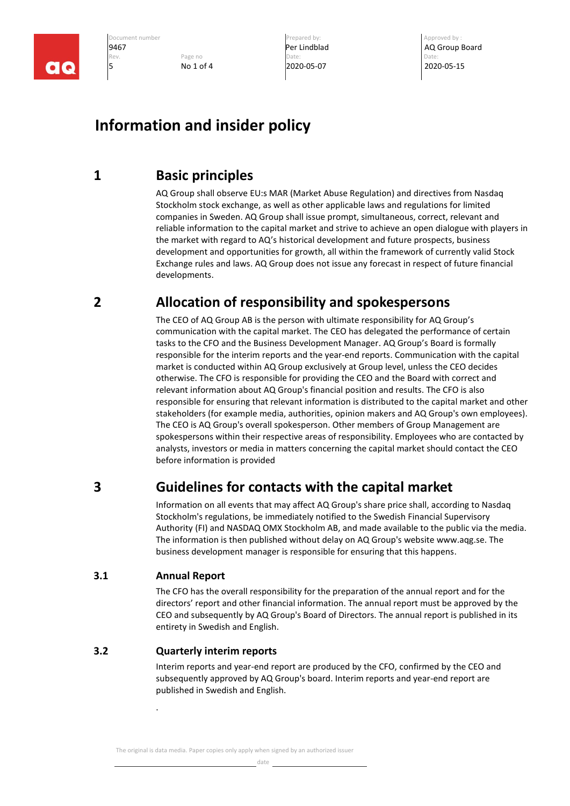

**9467 Per Lindblad Per Lindblad AQ Group Board AC ALC BOARD ACTION Page no and Date: Page 10 Date: Page 10 Date: Page 10 Date: Page 10 Date: Page 10 Date: Page 10 Date: Page 10 Date:** Rev. **Page no Page no Date:** Date: Date: Date: Date: Date: Date: Date: Date: Date: Date: Date: Date: Date: Date: Date: Date: Date: Date: Date: Date: Date: Date: Date: Date: Date: Date: Date: Date: Date: Date: Date: Date: D 5 No 1 of 4 2020-05-07 2020-05-15

Document number and the community of the Prepared by: Approved by : Approved by :

# **Information and insider policy**

# **1 Basic principles**

AQ Group shall observe EU:s MAR (Market Abuse Regulation) and directives from Nasdaq Stockholm stock exchange, as well as other applicable laws and regulations for limited companies in Sweden. AQ Group shall issue prompt, simultaneous, correct, relevant and reliable information to the capital market and strive to achieve an open dialogue with players in the market with regard to AQ's historical development and future prospects, business development and opportunities for growth, all within the framework of currently valid Stock Exchange rules and laws. AQ Group does not issue any forecast in respect of future financial developments.

# **2 Allocation of responsibility and spokespersons**

The CEO of AQ Group AB is the person with ultimate responsibility for AQ Group's communication with the capital market. The CEO has delegated the performance of certain tasks to the CFO and the Business Development Manager. AQ Group's Board is formally responsible for the interim reports and the year-end reports. Communication with the capital market is conducted within AQ Group exclusively at Group level, unless the CEO decides otherwise. The CFO is responsible for providing the CEO and the Board with correct and relevant information about AQ Group's financial position and results. The CFO is also responsible for ensuring that relevant information is distributed to the capital market and other stakeholders (for example media, authorities, opinion makers and AQ Group's own employees). The CEO is AQ Group's overall spokesperson. Other members of Group Management are spokespersons within their respective areas of responsibility. Employees who are contacted by analysts, investors or media in matters concerning the capital market should contact the CEO before information is provided

# **3 Guidelines for contacts with the capital market**

Information on all events that may affect AQ Group's share price shall, according to Nasdaq Stockholm's regulations, be immediately notified to the Swedish Financial Supervisory Authority (FI) and NASDAQ OMX Stockholm AB, and made available to the public via the media. The information is then published without delay on AQ Group's website www.aqg.se. The business development manager is responsible for ensuring that this happens.

## **3.1 Annual Report**

.

The CFO has the overall responsibility for the preparation of the annual report and for the directors' report and other financial information. The annual report must be approved by the CEO and subsequently by AQ Group's Board of Directors. The annual report is published in its entirety in Swedish and English.

### **3.2 Quarterly interim reports**

Interim reports and year-end report are produced by the CFO, confirmed by the CEO and subsequently approved by AQ Group's board. Interim reports and year-end report are published in Swedish and English.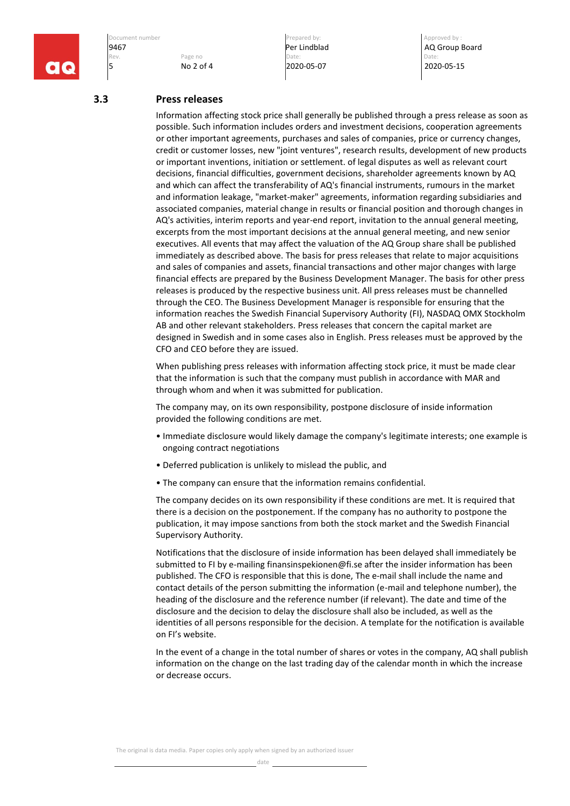

Rev. **Page no Page no Date:** Date: Date: Date: Date: Date: Date: Date: Date: Date: Date: Date: Date: Date: Date: Date: Date: Date: Date: Date: Date: Date: Date: Date: Date: Date: Date: Date: Date: Date: Date: Date: Date: D 5 No 2 of 4 2020-05-07 2020-05-15

Document number Prepared by: Approved by :

**9467 Per Lindblad Per Lindblad AQ Group Board AC ALL AC ALL AND AC Group Board Rev. Page no and the page of the page of the page of the page of the page of the page of the page of the page of the page of the p** 

#### **3.3 Press releases**

Information affecting stock price shall generally be published through a press release as soon as possible. Such information includes orders and investment decisions, cooperation agreements or other important agreements, purchases and sales of companies, price or currency changes, credit or customer losses, new "joint ventures", research results, development of new products or important inventions, initiation or settlement. of legal disputes as well as relevant court decisions, financial difficulties, government decisions, shareholder agreements known by AQ and which can affect the transferability of AQ's financial instruments, rumours in the market and information leakage, "market-maker" agreements, information regarding subsidiaries and associated companies, material change in results or financial position and thorough changes in AQ's activities, interim reports and year-end report, invitation to the annual general meeting, excerpts from the most important decisions at the annual general meeting, and new senior executives. All events that may affect the valuation of the AQ Group share shall be published immediately as described above. The basis for press releases that relate to major acquisitions and sales of companies and assets, financial transactions and other major changes with large financial effects are prepared by the Business Development Manager. The basis for other press releases is produced by the respective business unit. All press releases must be channelled through the CEO. The Business Development Manager is responsible for ensuring that the information reaches the Swedish Financial Supervisory Authority (FI), NASDAQ OMX Stockholm AB and other relevant stakeholders. Press releases that concern the capital market are designed in Swedish and in some cases also in English. Press releases must be approved by the CFO and CEO before they are issued.

When publishing press releases with information affecting stock price, it must be made clear that the information is such that the company must publish in accordance with MAR and through whom and when it was submitted for publication.

The company may, on its own responsibility, postpone disclosure of inside information provided the following conditions are met.

- Immediate disclosure would likely damage the company's legitimate interests; one example is ongoing contract negotiations
- Deferred publication is unlikely to mislead the public, and
- The company can ensure that the information remains confidential.

The company decides on its own responsibility if these conditions are met. It is required that there is a decision on the postponement. If the company has no authority to postpone the publication, it may impose sanctions from both the stock market and the Swedish Financial Supervisory Authority.

Notifications that the disclosure of inside information has been delayed shall immediately be submitted to FI by e-mailing finansinspekionen@fi.se after the insider information has been published. The CFO is responsible that this is done, The e-mail shall include the name and contact details of the person submitting the information (e-mail and telephone number), the heading of the disclosure and the reference number (if relevant). The date and time of the disclosure and the decision to delay the disclosure shall also be included, as well as the identities of all persons responsible for the decision. A template for the notification is available on FI's website.

In the event of a change in the total number of shares or votes in the company, AQ shall publish information on the change on the last trading day of the calendar month in which the increase or decrease occurs.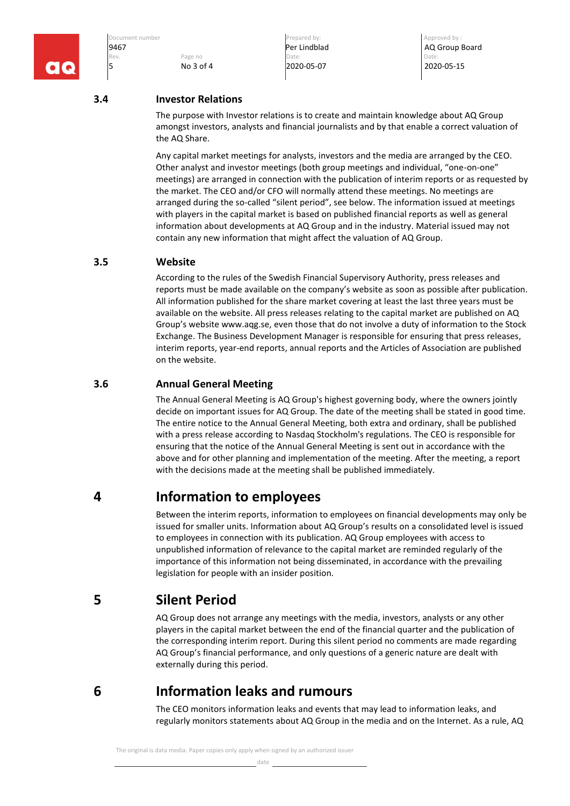

**9467 Per Lindblad Per Lindblad AQ Group Board AC ALC BOARD ACTION Page no and Date: Page 10 Date: Page 10 Date: Page 10 Date: Page 10 Date: Page 10 Date: Page 10 Date: Page 10 Date:** Rev. **Page no Page no Date:** Date: Date: Date: Date: Date: Date: Date: Date: Date: Date: Date: Date: Date: Date: Date: Date: Date: Date: Date: Date: Date: Date: Date: Date: Date: Date: Date: Date: Date: Date: Date: Date: D 5 No 3 of 4 2020-05-07 2020-05-15

Document number and the community of the Prepared by: Approved by : Approved by :

### **3.4 Investor Relations**

The purpose with Investor relations is to create and maintain knowledge about AQ Group amongst investors, analysts and financial journalists and by that enable a correct valuation of the AQ Share.

Any capital market meetings for analysts, investors and the media are arranged by the CEO. Other analyst and investor meetings (both group meetings and individual, "one-on-one" meetings) are arranged in connection with the publication of interim reports or as requested by the market. The CEO and/or CFO will normally attend these meetings. No meetings are arranged during the so-called "silent period", see below. The information issued at meetings with players in the capital market is based on published financial reports as well as general information about developments at AQ Group and in the industry. Material issued may not contain any new information that might affect the valuation of AQ Group.

### **3.5 Website**

According to the rules of the Swedish Financial Supervisory Authority, press releases and reports must be made available on the company's website as soon as possible after publication. All information published for the share market covering at least the last three years must be available on the website. All press releases relating to the capital market are published on AQ Group's website www.aqg.se, even those that do not involve a duty of information to the Stock Exchange. The Business Development Manager is responsible for ensuring that press releases, interim reports, year-end reports, annual reports and the Articles of Association are published on the website.

#### **3.6 Annual General Meeting**

The Annual General Meeting is AQ Group's highest governing body, where the owners jointly decide on important issues for AQ Group. The date of the meeting shall be stated in good time. The entire notice to the Annual General Meeting, both extra and ordinary, shall be published with a press release according to Nasdaq Stockholm's regulations. The CEO is responsible for ensuring that the notice of the Annual General Meeting is sent out in accordance with the above and for other planning and implementation of the meeting. After the meeting, a report with the decisions made at the meeting shall be published immediately.

## **4 Information to employees**

Between the interim reports, information to employees on financial developments may only be issued for smaller units. Information about AQ Group's results on a consolidated level is issued to employees in connection with its publication. AQ Group employees with access to unpublished information of relevance to the capital market are reminded regularly of the importance of this information not being disseminated, in accordance with the prevailing legislation for people with an insider position.

## **5 Silent Period**

AQ Group does not arrange any meetings with the media, investors, analysts or any other players in the capital market between the end of the financial quarter and the publication of the corresponding interim report. During this silent period no comments are made regarding AQ Group's financial performance, and only questions of a generic nature are dealt with externally during this period.

**6 Information leaks and rumours**

The CEO monitors information leaks and events that may lead to information leaks, and regularly monitors statements about AQ Group in the media and on the Internet. As a rule, AQ